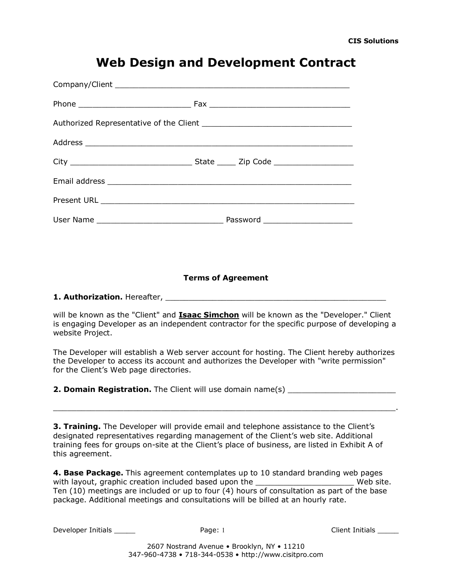## **Web Design and Development Contract**

## **Terms of Agreement**

**1. Authorization.** Hereafter, **with a state of the state of the state of the state of the state of the state of the state of the state of the state of the state of the state of the state of the state of the state of the s** 

will be known as the "Client" and **Isaac Simchon** will be known as the "Developer." Client is engaging Developer as an independent contractor for the specific purpose of developing a website Project.

The Developer will establish a Web server account for hosting. The Client hereby authorizes the Developer to access its account and authorizes the Developer with "write permission" for the Client's Web page directories.

**2. Domain Registration.** The Client will use domain name(s)

 $\_$  , and the set of the set of the set of the set of the set of the set of the set of the set of the set of the set of the set of the set of the set of the set of the set of the set of the set of the set of the set of th

**3. Training.** The Developer will provide email and telephone assistance to the Client's designated representatives regarding management of the Client's web site. Additional training fees for groups on-site at the Client's place of business, are listed in Exhibit A of this agreement.

**4. Base Package.** This agreement contemplates up to 10 standard branding web pages with layout, graphic creation included based upon the \_\_\_\_\_\_\_\_\_\_\_\_\_\_\_\_\_\_\_\_\_\_\_\_\_\_\_ Web site. Ten (10) meetings are included or up to four (4) hours of consultation as part of the base package. Additional meetings and consultations will be billed at an hourly rate.

Developer Initials \_\_\_\_\_ Page: 1 Client Initials \_\_\_\_\_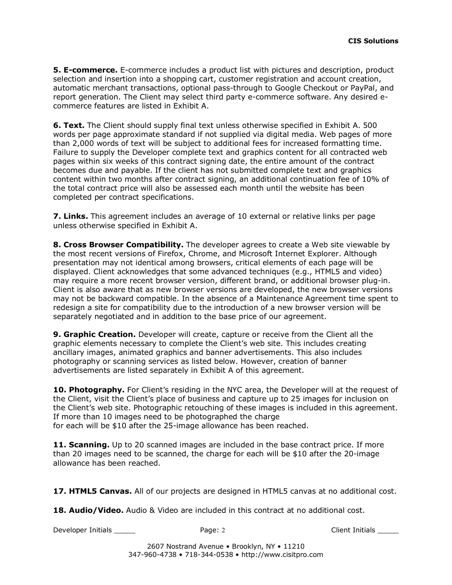**5. E-commerce.** E-commerce includes a product list with pictures and description, product selection and insertion into a shopping cart, customer registration and account creation, automatic merchant transactions, optional pass-through to Google Checkout or PayPal, and report generation. The Client may select third party e-commerce software. Any desired ecommerce features are listed in Exhibit A.

**6. Text.** The Client should supply final text unless otherwise specified in Exhibit A. 500 words per page approximate standard if not supplied via digital media. Web pages of more than 2,000 words of text will be subject to additional fees for increased formatting time. Failure to supply the Developer complete text and graphics content for all contracted web pages within six weeks of this contract signing date, the entire amount of the contract becomes due and payable. If the client has not submitted complete text and graphics content within two months after contract signing, an additional continuation fee of 10% of the total contract price will also be assessed each month until the website has been completed per contract specifications.

**7. Links.** This agreement includes an average of 10 external or relative links per page unless otherwise specified in Exhibit A.

**8. Cross Browser Compatibility.** The developer agrees to create a Web site viewable by the most recent versions of Firefox, Chrome, and Microsoft Internet Explorer. Although presentation may not identical among browsers, critical elements of each page will be displayed. Client acknowledges that some advanced techniques (e.g., HTML5 and video) may require a more recent browser version, different brand, or additional browser plug-in. Client is also aware that as new browser versions are developed, the new browser versions may not be backward compatible. In the absence of a Maintenance Agreement time spent to redesign a site for compatibility due to the introduction of a new browser version will be separately negotiated and in addition to the base price of our agreement.

**9. Graphic Creation.** Developer will create, capture or receive from the Client all the graphic elements necessary to complete the Client's web site. This includes creating ancillary images, animated graphics and banner advertisements. This also includes photography or scanning services as listed below. However, creation of banner advertisements are listed separately in Exhibit A of this agreement.

**10. Photography.** For Client's residing in the NYC area, the Developer will at the request of the Client, visit the Client's place of business and capture up to 25 images for inclusion on the Client's web site. Photographic retouching of these images is included in this agreement. If more than 10 images need to be photographed the charge for each will be \$10 after the 25-image allowance has been reached.

**11. Scanning.** Up to 20 scanned images are included in the base contract price. If more than 20 images need to be scanned, the charge for each will be \$10 after the 20-image allowance has been reached.

**17. HTML5 Canvas.** All of our projects are designed in HTML5 canvas at no additional cost.

**18. Audio/Video.** Audio & Video are included in this contract at no additional cost.

Developer Initials \_\_\_\_\_ Page: 2 Client Initials \_\_\_\_\_

2607 Nostrand Avenue • Brooklyn, NY • 11210 347-960-4738 • 718-344-0538 • http://www.cisitpro.com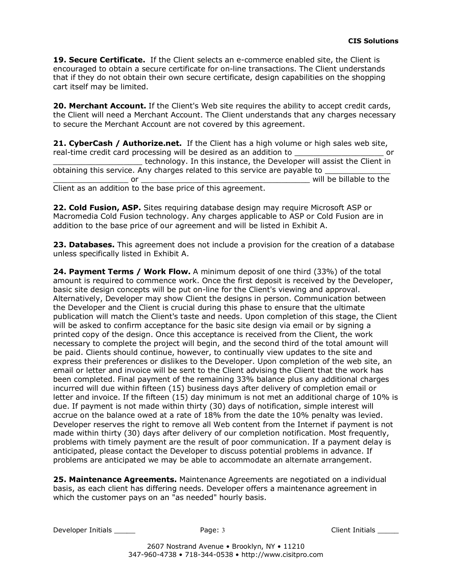19. Secure Certificate. If the Client selects an e-commerce enabled site, the Client is encouraged to obtain a secure certificate for on-line transactions. The Client understands that if they do not obtain their own secure certificate, design capabilities on the shopping cart itself may be limited.

20. Merchant Account. If the Client's Web site requires the ability to accept credit cards, the Client will need a Merchant Account. The Client understands that any charges necessary to secure the Merchant Account are not covered by this agreement.

**21. CyberCash / Authorize.net.** If the Client has a high volume or high sales web site, real-time credit card processing will be desired as an addition to the same of contact of the state of the sta technology. In this instance, the Developer will assist the Client in obtaining this service. Any charges related to this service are payable to or the contract of the contract of the contract of the contract of the contract of the contract of the contract of the contract of the contract of the contract of the contract of the contract of the contract of the contrac Client as an addition to the base price of this agreement.

**22. Cold Fusion, ASP.** Sites requiring database design may require Microsoft ASP or Macromedia Cold Fusion technology. Any charges applicable to ASP or Cold Fusion are in addition to the base price of our agreement and will be listed in Exhibit A.

**23. Databases.** This agreement does not include a provision for the creation of a database unless specifically listed in Exhibit A.

**24. Payment Terms / Work Flow.** A minimum deposit of one third (33%) of the total amount is required to commence work. Once the first deposit is received by the Developer, basic site design concepts will be put on-line for the Client's viewing and approval. Alternatively, Developer may show Client the designs in person. Communication between the Developer and the Client is crucial during this phase to ensure that the ultimate publication will match the Client's taste and needs. Upon completion of this stage, the Client will be asked to confirm acceptance for the basic site design via email or by signing a printed copy of the design. Once this acceptance is received from the Client, the work necessary to complete the project will begin, and the second third of the total amount will be paid. Clients should continue, however, to continually view updates to the site and express their preferences or dislikes to the Developer. Upon completion of the web site, an email or letter and invoice will be sent to the Client advising the Client that the work has been completed. Final payment of the remaining 33% balance plus any additional charges incurred will due within fifteen (15) business days after delivery of completion email or letter and invoice. If the fifteen (15) day minimum is not met an additional charge of 10% is due. If payment is not made within thirty (30) days of notification, simple interest will accrue on the balance owed at a rate of 18% from the date the 10% penalty was levied. Developer reserves the right to remove all Web content from the Internet if payment is not made within thirty (30) days after delivery of our completion notification. Most frequently, problems with timely payment are the result of poor communication. If a payment delay is anticipated, please contact the Developer to discuss potential problems in advance. If problems are anticipated we may be able to accommodate an alternate arrangement.

**25. Maintenance Agreements.** Maintenance Agreements are negotiated on a individual basis, as each client has differing needs. Developer offers a maintenance agreement in which the customer pays on an "as needed" hourly basis.

Developer Initials \_\_\_\_\_\_\_ Page: 3 Client Initials \_\_\_\_\_\_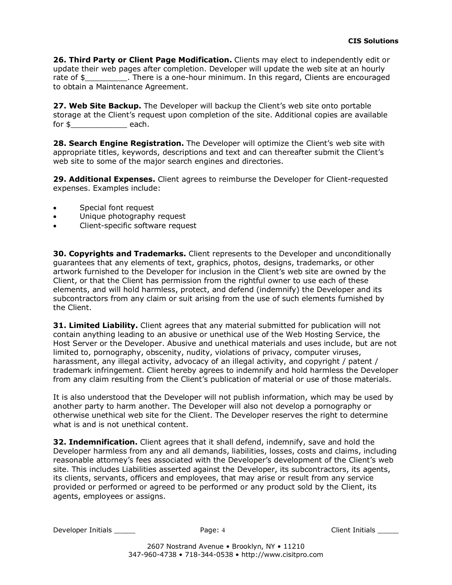**26. Third Party or Client Page Modification.** Clients may elect to independently edit or update their web pages after completion. Developer will update the web site at an hourly rate of \$ There is a one-hour minimum. In this regard, Clients are encouraged to obtain a Maintenance Agreement.

**27. Web Site Backup.** The Developer will backup the Client's web site onto portable storage at the Client's request upon completion of the site. Additional copies are available for \$\_\_\_\_\_\_\_\_\_\_\_\_ each.

**28. Search Engine Registration.** The Developer will optimize the Client's web site with appropriate titles, keywords, descriptions and text and can thereafter submit the Client's web site to some of the major search engines and directories.

**29. Additional Expenses.** Client agrees to reimburse the Developer for Client-requested expenses. Examples include:

- Special font request
- Unique photography request
- Client-specific software request

**30. Copyrights and Trademarks.** Client represents to the Developer and unconditionally guarantees that any elements of text, graphics, photos, designs, trademarks, or other artwork furnished to the Developer for inclusion in the Client's web site are owned by the Client, or that the Client has permission from the rightful owner to use each of these elements, and will hold harmless, protect, and defend (indemnify) the Developer and its subcontractors from any claim or suit arising from the use of such elements furnished by the Client.

**31. Limited Liability.** Client agrees that any material submitted for publication will not contain anything leading to an abusive or unethical use of the Web Hosting Service, the Host Server or the Developer. Abusive and unethical materials and uses include, but are not limited to, pornography, obscenity, nudity, violations of privacy, computer viruses, harassment, any illegal activity, advocacy of an illegal activity, and copyright / patent / trademark infringement. Client hereby agrees to indemnify and hold harmless the Developer from any claim resulting from the Client's publication of material or use of those materials.

It is also understood that the Developer will not publish information, which may be used by another party to harm another. The Developer will also not develop a pornography or otherwise unethical web site for the Client. The Developer reserves the right to determine what is and is not unethical content.

**32. Indemnification.** Client agrees that it shall defend, indemnify, save and hold the Developer harmless from any and all demands, liabilities, losses, costs and claims, including reasonable attorney's fees associated with the Developer's development of the Client's web site. This includes Liabilities asserted against the Developer, its subcontractors, its agents, its clients, servants, officers and employees, that may arise or result from any service provided or performed or agreed to be performed or any product sold by the Client, its agents, employees or assigns.

Developer Initials \_\_\_\_\_ Page: 4 Client Initials \_\_\_\_\_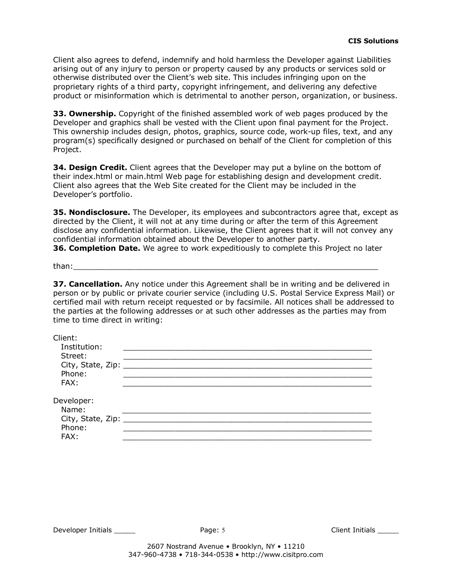Client also agrees to defend, indemnify and hold harmless the Developer against Liabilities arising out of any injury to person or property caused by any products or services sold or otherwise distributed over the Client's web site. This includes infringing upon on the proprietary rights of a third party, copyright infringement, and delivering any defective product or misinformation which is detrimental to another person, organization, or business.

**33. Ownership.** Copyright of the finished assembled work of web pages produced by the Developer and graphics shall be vested with the Client upon final payment for the Project. This ownership includes design, photos, graphics, source code, work-up files, text, and any program(s) specifically designed or purchased on behalf of the Client for completion of this Project.

**34. Design Credit.** Client agrees that the Developer may put a byline on the bottom of their index.html or main.html Web page for establishing design and development credit. Client also agrees that the Web Site created for the Client may be included in the Developer's portfolio.

**35. Nondisclosure.** The Developer, its employees and subcontractors agree that, except as directed by the Client, it will not at any time during or after the term of this Agreement disclose any confidential information. Likewise, the Client agrees that it will not convey any confidential information obtained about the Developer to another party.

**36. Completion Date.** We agree to work expeditiously to complete this Project no later

than:\_\_\_\_\_\_\_\_\_\_\_\_\_\_\_\_\_\_\_\_\_\_\_\_\_\_\_\_\_\_\_\_\_\_\_\_\_\_\_\_\_\_\_\_\_\_\_\_\_\_\_\_\_\_\_\_\_\_\_\_\_\_\_\_\_

**37. Cancellation.** Any notice under this Agreement shall be in writing and be delivered in person or by public or private courier service (including U.S. Postal Service Express Mail) or certified mail with return receipt requested or by facsimile. All notices shall be addressed to the parties at the following addresses or at such other addresses as the parties may from time to time direct in writing:

| Client:<br>Institution:  |  |
|--------------------------|--|
| Street:                  |  |
|                          |  |
| Phone:                   |  |
| FAX:                     |  |
| Developer:               |  |
| Name:                    |  |
| City, State, Zip: ______ |  |
| Phone:                   |  |
| FAX:                     |  |

Developer Initials \_\_\_\_\_ Page: 5 Client Initials \_\_\_\_\_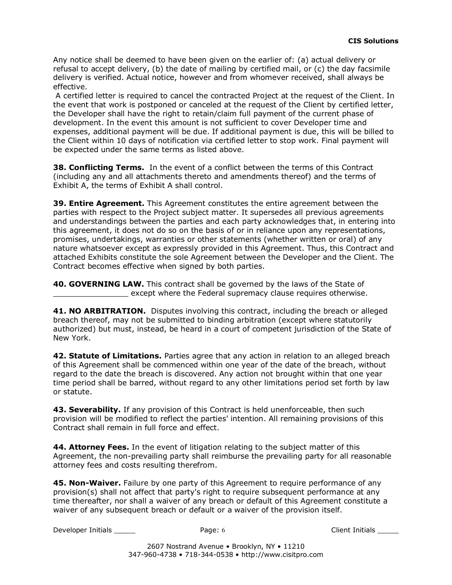Any notice shall be deemed to have been given on the earlier of: (a) actual delivery or refusal to accept delivery, (b) the date of mailing by certified mail, or (c) the day facsimile delivery is verified. Actual notice, however and from whomever received, shall always be effective.

A certified letter is required to cancel the contracted Project at the request of the Client. In the event that work is postponed or canceled at the request of the Client by certified letter, the Developer shall have the right to retain/claim full payment of the current phase of development. In the event this amount is not sufficient to cover Developer time and expenses, additional payment will be due. If additional payment is due, this will be billed to the Client within 10 days of notification via certified letter to stop work. Final payment will be expected under the same terms as listed above.

**38. Conflicting Terms.** In the event of a conflict between the terms of this Contract (including any and all attachments thereto and amendments thereof) and the terms of Exhibit A, the terms of Exhibit A shall control.

**39. Entire Agreement.** This Agreement constitutes the entire agreement between the parties with respect to the Project subject matter. It supersedes all previous agreements and understandings between the parties and each party acknowledges that, in entering into this agreement, it does not do so on the basis of or in reliance upon any representations, promises, undertakings, warranties or other statements (whether written or oral) of any nature whatsoever except as expressly provided in this Agreement. Thus, this Contract and attached Exhibits constitute the sole Agreement between the Developer and the Client. The Contract becomes effective when signed by both parties.

**40. GOVERNING LAW.** This contract shall be governed by the laws of the State of except where the Federal supremacy clause requires otherwise.

**41. NO ARBITRATION.** Disputes involving this contract, including the breach or alleged breach thereof, may not be submitted to binding arbitration (except where statutorily authorized) but must, instead, be heard in a court of competent jurisdiction of the State of New York.

**42. Statute of Limitations.** Parties agree that any action in relation to an alleged breach of this Agreement shall be commenced within one year of the date of the breach, without regard to the date the breach is discovered. Any action not brought within that one year time period shall be barred, without regard to any other limitations period set forth by law or statute.

**43. Severability.** If any provision of this Contract is held unenforceable, then such provision will be modified to reflect the parties' intention. All remaining provisions of this Contract shall remain in full force and effect.

**44. Attorney Fees.** In the event of litigation relating to the subject matter of this Agreement, the non-prevailing party shall reimburse the prevailing party for all reasonable attorney fees and costs resulting therefrom.

**45. Non-Waiver.** Failure by one party of this Agreement to require performance of any provision(s) shall not affect that party's right to require subsequent performance at any time thereafter, nor shall a waiver of any breach or default of this Agreement constitute a waiver of any subsequent breach or default or a waiver of the provision itself.

Developer Initials \_\_\_\_\_ Page: 6 Client Initials \_\_\_\_\_